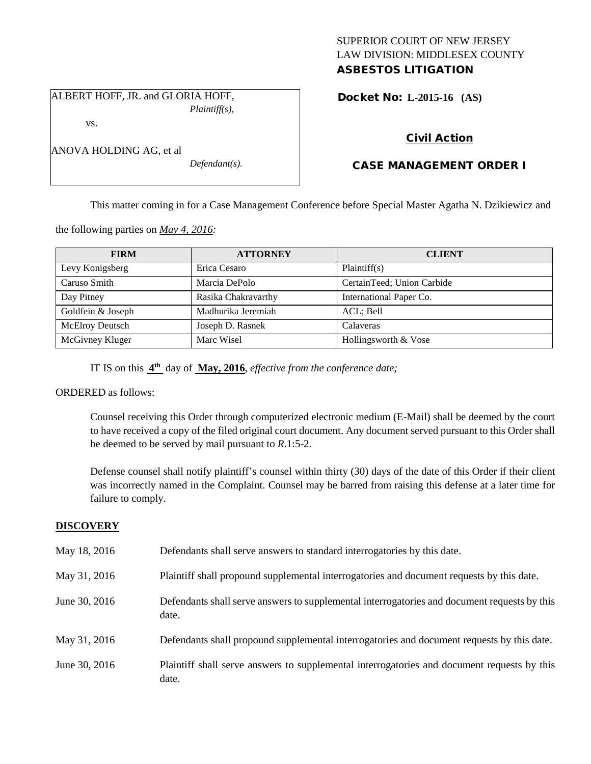## SUPERIOR COURT OF NEW JERSEY LAW DIVISION: MIDDLESEX COUNTY ASBESTOS LITIGATION

ALBERT HOFF, JR. and GLORIA HOFF, *Plaintiff(s),*

vs.

ANOVA HOLDING AG, et al

Docket No: **L-2015-16 (AS)** 

## Civil Action

# CASE MANAGEMENT ORDER I

This matter coming in for a Case Management Conference before Special Master Agatha N. Dzikiewicz and

the following parties on *May 4, 2016:*

| <b>FIRM</b>       | <b>ATTORNEY</b>     | <b>CLIENT</b>              |
|-------------------|---------------------|----------------------------|
| Levy Konigsberg   | Erica Cesaro        | Plaintiff(s)               |
| Caruso Smith      | Marcia DePolo       | CertainTeed; Union Carbide |
| Day Pitney        | Rasika Chakravarthy | International Paper Co.    |
| Goldfein & Joseph | Madhurika Jeremiah  | ACL; Bell                  |
| McElroy Deutsch   | Joseph D. Rasnek    | Calaveras                  |
| McGivney Kluger   | Marc Wisel          | Hollingsworth & Vose       |

IT IS on this **4th** day of **May, 2016**, *effective from the conference date;*

*Defendant(s).*

ORDERED as follows:

Counsel receiving this Order through computerized electronic medium (E-Mail) shall be deemed by the court to have received a copy of the filed original court document. Any document served pursuant to this Order shall be deemed to be served by mail pursuant to *R*.1:5-2.

Defense counsel shall notify plaintiff's counsel within thirty (30) days of the date of this Order if their client was incorrectly named in the Complaint. Counsel may be barred from raising this defense at a later time for failure to comply.

## **DISCOVERY**

| May 18, 2016  | Defendants shall serve answers to standard interrogatories by this date.                              |
|---------------|-------------------------------------------------------------------------------------------------------|
| May 31, 2016  | Plaintiff shall propound supplemental interrogatories and document requests by this date.             |
| June 30, 2016 | Defendants shall serve answers to supplemental interrogatories and document requests by this<br>date. |
| May 31, 2016  | Defendants shall propound supplemental interrogatories and document requests by this date.            |
| June 30, 2016 | Plaintiff shall serve answers to supplemental interrogatories and document requests by this<br>date.  |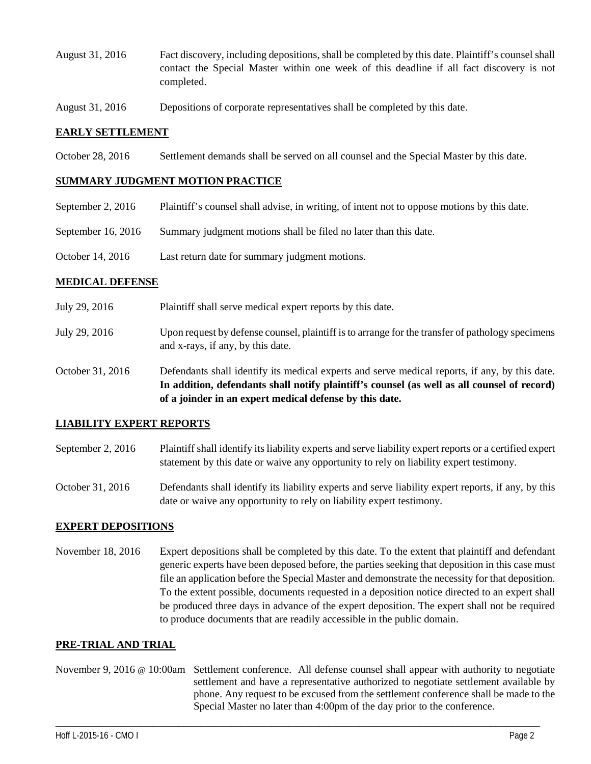- August 31, 2016 Fact discovery, including depositions, shall be completed by this date. Plaintiff's counsel shall contact the Special Master within one week of this deadline if all fact discovery is not completed.
- August 31, 2016 Depositions of corporate representatives shall be completed by this date.

#### **EARLY SETTLEMENT**

October 28, 2016 Settlement demands shall be served on all counsel and the Special Master by this date.

#### **SUMMARY JUDGMENT MOTION PRACTICE**

- September 2, 2016 Plaintiff's counsel shall advise, in writing, of intent not to oppose motions by this date.
- September 16, 2016 Summary judgment motions shall be filed no later than this date.
- October 14, 2016 Last return date for summary judgment motions.

#### **MEDICAL DEFENSE**

- July 29, 2016 Plaintiff shall serve medical expert reports by this date.
- July 29, 2016 Upon request by defense counsel, plaintiff is to arrange for the transfer of pathology specimens and x-rays, if any, by this date.
- October 31, 2016 Defendants shall identify its medical experts and serve medical reports, if any, by this date. **In addition, defendants shall notify plaintiff's counsel (as well as all counsel of record) of a joinder in an expert medical defense by this date.**

#### **LIABILITY EXPERT REPORTS**

- September 2, 2016 Plaintiff shall identify its liability experts and serve liability expert reports or a certified expert statement by this date or waive any opportunity to rely on liability expert testimony.
- October 31, 2016 Defendants shall identify its liability experts and serve liability expert reports, if any, by this date or waive any opportunity to rely on liability expert testimony.

### **EXPERT DEPOSITIONS**

November 18, 2016 Expert depositions shall be completed by this date. To the extent that plaintiff and defendant generic experts have been deposed before, the parties seeking that deposition in this case must file an application before the Special Master and demonstrate the necessity for that deposition. To the extent possible, documents requested in a deposition notice directed to an expert shall be produced three days in advance of the expert deposition. The expert shall not be required to produce documents that are readily accessible in the public domain.

### **PRE-TRIAL AND TRIAL**

November 9, 2016 @ 10:00am Settlement conference. All defense counsel shall appear with authority to negotiate settlement and have a representative authorized to negotiate settlement available by phone. Any request to be excused from the settlement conference shall be made to the Special Master no later than 4:00pm of the day prior to the conference.

\_\_\_\_\_\_\_\_\_\_\_\_\_\_\_\_\_\_\_\_\_\_\_\_\_\_\_\_\_\_\_\_\_\_\_\_\_\_\_\_\_\_\_\_\_\_\_\_\_\_\_\_\_\_\_\_\_\_\_\_\_\_\_\_\_\_\_\_\_\_\_\_\_\_\_\_\_\_\_\_\_\_\_\_\_\_\_\_\_\_\_\_\_\_\_\_\_\_\_\_\_\_\_\_\_\_\_\_\_\_